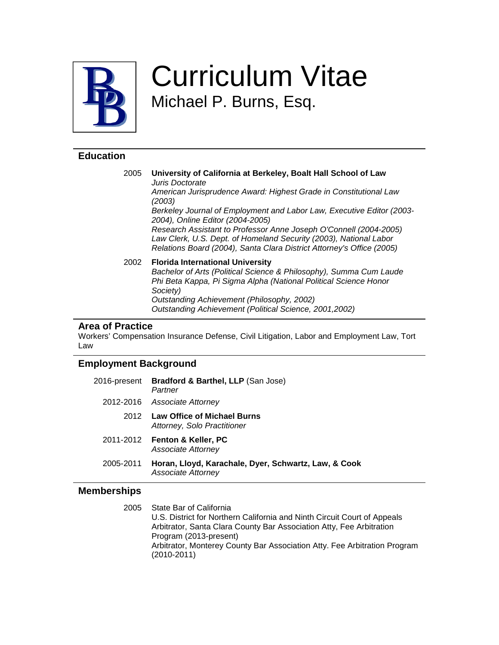

# Curriculum Vitae Michael P. Burns, Esq.

### **Education**

2005 **University of California at Berkeley, Boalt Hall School of Law**  Juris Doctorate American Jurisprudence Award: Highest Grade in Constitutional Law (2003) Berkeley Journal of Employment and Labor Law, Executive Editor (2003- 2004), Online Editor (2004-2005) Research Assistant to Professor Anne Joseph O'Connell (2004-2005) Law Clerk, U.S. Dept. of Homeland Security (2003), National Labor Relations Board (2004), Santa Clara District Attorney's Office (2005) 2002 **Florida International University**  Bachelor of Arts (Political Science & Philosophy), Summa Cum Laude Phi Beta Kappa, Pi Sigma Alpha (National Political Science Honor Society) Outstanding Achievement (Philosophy, 2002) Outstanding Achievement (Political Science, 2001,2002)

#### **Area of Practice**

Workers' Compensation Insurance Defense, Civil Litigation, Labor and Employment Law, Tort Law

#### **Employment Background**

| 2016-present | Bradford & Barthel, LLP (San Jose)<br>Partner                              |
|--------------|----------------------------------------------------------------------------|
| 2012-2016    | Associate Attorney                                                         |
| 2012         | <b>Law Office of Michael Burns</b><br>Attorney, Solo Practitioner          |
|              | 2011-2012 Fenton & Keller, PC<br>Associate Attorney                        |
| 2005-2011    | Horan, Lloyd, Karachale, Dyer, Schwartz, Law, & Cook<br>Associate Attorney |

#### **Memberships**

2005 State Bar of California U.S. District for Northern California and Ninth Circuit Court of Appeals Arbitrator, Santa Clara County Bar Association Atty, Fee Arbitration Program (2013-present) Arbitrator, Monterey County Bar Association Atty. Fee Arbitration Program (2010-2011)